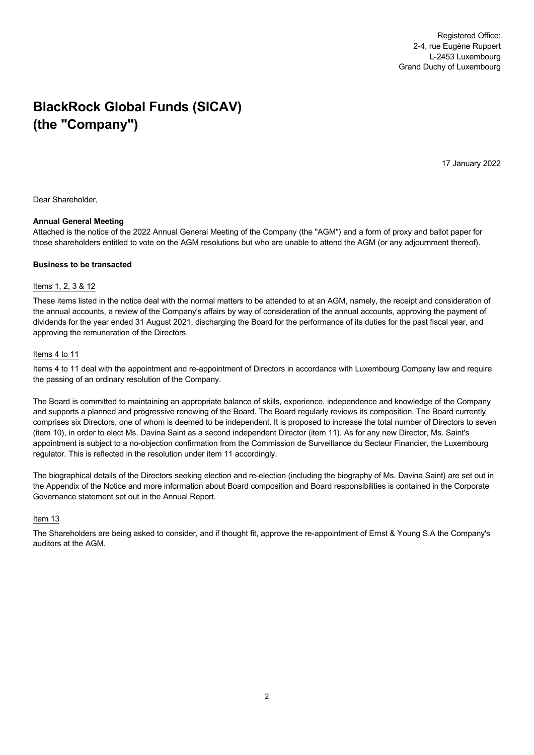Registered Office: 2-4, rue Eugène Ruppert L-2453 Luxembourg Grand Duchy of Luxembourg

# **BlackRock Global Funds (SICAV) (the "Company")**

17 January 2022

Dear Shareholder,

#### **Annual General Meeting**

Attached is the notice of the 2022 Annual General Meeting of the Company (the "AGM") and a form of proxy and ballot paper for those shareholders entitled to vote on the AGM resolutions but who are unable to attend the AGM (or any adjournment thereof).

#### **Business to be transacted**

#### Items 1, 2, 3 & 12

These items listed in the notice deal with the normal matters to be attended to at an AGM, namely, the receipt and consideration of the annual accounts, a review of the Company's affairs by way of consideration of the annual accounts, approving the payment of dividends for the year ended 31 August 2021, discharging the Board for the performance of its duties for the past fiscal year, and approving the remuneration of the Directors.

#### Items 4 to 11

Items 4 to 11 deal with the appointment and re-appointment of Directors in accordance with Luxembourg Company law and require the passing of an ordinary resolution of the Company.

The Board is committed to maintaining an appropriate balance of skills, experience, independence and knowledge of the Company and supports a planned and progressive renewing of the Board. The Board regularly reviews its composition. The Board currently comprises six Directors, one of whom is deemed to be independent. It is proposed to increase the total number of Directors to seven (item 10), in order to elect Ms. Davina Saint as a second independent Director (item 11). As for any new Director, Ms. Saint's appointment is subject to a no-objection confirmation from the Commission de Surveillance du Secteur Financier, the Luxembourg regulator. This is reflected in the resolution under item 11 accordingly.

The biographical details of the Directors seeking election and re-election (including the biography of Ms. Davina Saint) are set out in the Appendix of the Notice and more information about Board composition and Board responsibilities is contained in the Corporate Governance statement set out in the Annual Report.

#### Item 13

The Shareholders are being asked to consider, and if thought fit, approve the re-appointment of Ernst & Young S.A the Company's auditors at the AGM.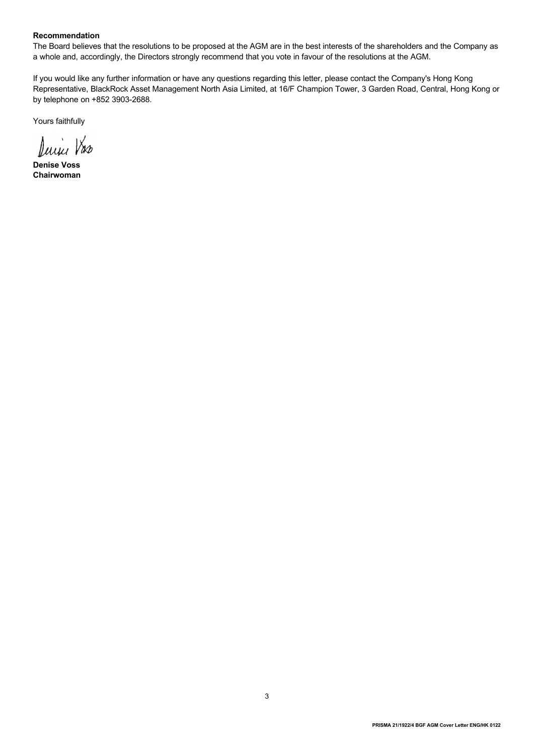# **Recommendation**

The Board believes that the resolutions to be proposed at the AGM are in the best interests of the shareholders and the Company as a whole and, accordingly, the Directors strongly recommend that you vote in favour of the resolutions at the AGM.

If you would like any further information or have any questions regarding this letter, please contact the Company's Hong Kong Representative, BlackRock Asset Management North Asia Limited, at 16/F Champion Tower, 3 Garden Road, Central, Hong Kong or by telephone on +852 3903-2688.

Yours faithfully

Juin Vas

**Denise Voss Chairwoman**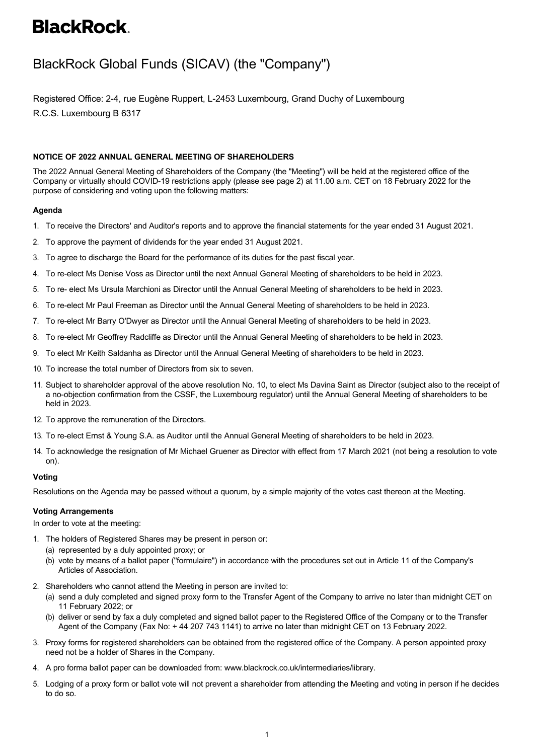# **BlackRock**

# BlackRock Global Funds (SICAV) (the "Company")

Registered Office: 2-4, rue Eugène Ruppert, L-2453 Luxembourg, Grand Duchy of Luxembourg R.C.S. Luxembourg B 6317

# **NOTICE OF 2022 ANNUAL GENERAL MEETING OF SHAREHOLDERS**

The 2022 Annual General Meeting of Shareholders of the Company (the "Meeting") will be held at the registered office of the Company or virtually should COVID-19 restrictions apply (please see page 2) at 11.00 a.m. CET on 18 February 2022 for the purpose of considering and voting upon the following matters:

# **Agenda**

- 1. To receive the Directors' and Auditor's reports and to approve the financial statements for the year ended 31 August 2021.
- 2. To approve the payment of dividends for the year ended 31 August 2021.
- 3. To agree to discharge the Board for the performance of its duties for the past fiscal year.
- 4. To re-elect Ms Denise Voss as Director until the next Annual General Meeting of shareholders to be held in 2023.
- 5. To re- elect Ms Ursula Marchioni as Director until the Annual General Meeting of shareholders to be held in 2023.
- 6. To re-elect Mr Paul Freeman as Director until the Annual General Meeting of shareholders to be held in 2023.
- 7. To re-elect Mr Barry O'Dwyer as Director until the Annual General Meeting of shareholders to be held in 2023.
- 8. To re-elect Mr Geoffrey Radcliffe as Director until the Annual General Meeting of shareholders to be held in 2023.
- 9. To elect Mr Keith Saldanha as Director until the Annual General Meeting of shareholders to be held in 2023.
- 10. To increase the total number of Directors from six to seven.
- 11. Subject to shareholder approval of the above resolution No. 10, to elect Ms Davina Saint as Director (subject also to the receipt of a no-objection confirmation from the CSSF, the Luxembourg regulator) until the Annual General Meeting of shareholders to be held in 2023.
- 12. To approve the remuneration of the Directors.
- 13. To re-elect Ernst & Young S.A. as Auditor until the Annual General Meeting of shareholders to be held in 2023.
- 14. To acknowledge the resignation of Mr Michael Gruener as Director with effect from 17 March 2021 (not being a resolution to vote on).

# **Voting**

Resolutions on the Agenda may be passed without a quorum, by a simple majority of the votes cast thereon at the Meeting.

# **Voting Arrangements**

In order to vote at the meeting:

- 1. The holders of Registered Shares may be present in person or:
	- (a) represented by a duly appointed proxy; or
	- (b) vote by means of a ballot paper ("formulaire") in accordance with the procedures set out in Article 11 of the Company's Articles of Association.
- 2. Shareholders who cannot attend the Meeting in person are invited to:
	- (a) send a duly completed and signed proxy form to the Transfer Agent of the Company to arrive no later than midnight CET on 11 February 2022; or
	- (b) deliver or send by fax a duly completed and signed ballot paper to the Registered Office of the Company or to the Transfer Agent of the Company (Fax No: + 44 207 743 1141) to arrive no later than midnight CET on 13 February 2022.
- 3. Proxy forms for registered shareholders can be obtained from the registered office of the Company. A person appointed proxy need not be a holder of Shares in the Company.
- 4. A pro forma ballot paper can be downloaded from: www.blackrock.co.uk/intermediaries/library.
- 5. Lodging of a proxy form or ballot vote will not prevent a shareholder from attending the Meeting and voting in person if he decides to do so.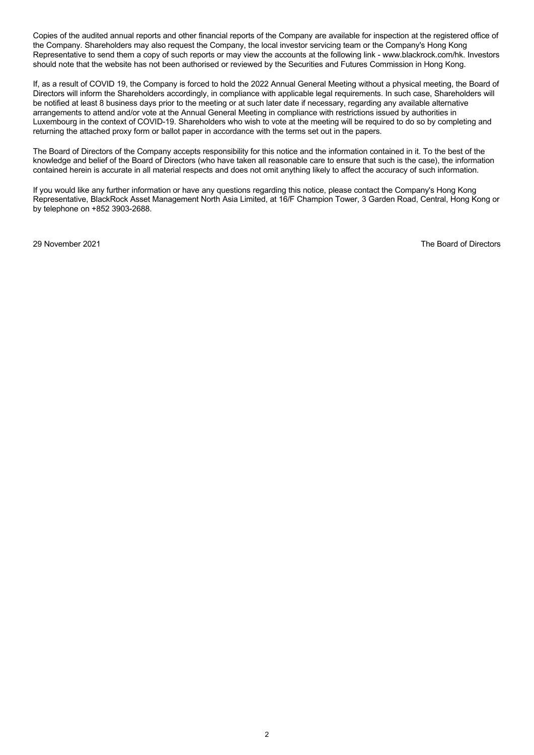Copies of the audited annual reports and other financial reports of the Company are available for inspection at the registered office of the Company. Shareholders may also request the Company, the local investor servicing team or the Company's Hong Kong Representative to send them a copy of such reports or may view the accounts at the following link - www.blackrock.com/hk. Investors should note that the website has not been authorised or reviewed by the Securities and Futures Commission in Hong Kong.

If, as a result of COVID 19, the Company is forced to hold the 2022 Annual General Meeting without a physical meeting, the Board of Directors will inform the Shareholders accordingly, in compliance with applicable legal requirements. In such case, Shareholders will be notified at least 8 business days prior to the meeting or at such later date if necessary, regarding any available alternative arrangements to attend and/or vote at the Annual General Meeting in compliance with restrictions issued by authorities in Luxembourg in the context of COVID-19. Shareholders who wish to vote at the meeting will be required to do so by completing and returning the attached proxy form or ballot paper in accordance with the terms set out in the papers.

The Board of Directors of the Company accepts responsibility for this notice and the information contained in it. To the best of the knowledge and belief of the Board of Directors (who have taken all reasonable care to ensure that such is the case), the information contained herein is accurate in all material respects and does not omit anything likely to affect the accuracy of such information.

If you would like any further information or have any questions regarding this notice, please contact the Company's Hong Kong Representative, BlackRock Asset Management North Asia Limited, at 16/F Champion Tower, 3 Garden Road, Central, Hong Kong or by telephone on +852 3903-2688.

29 November 2021 The Board of Directors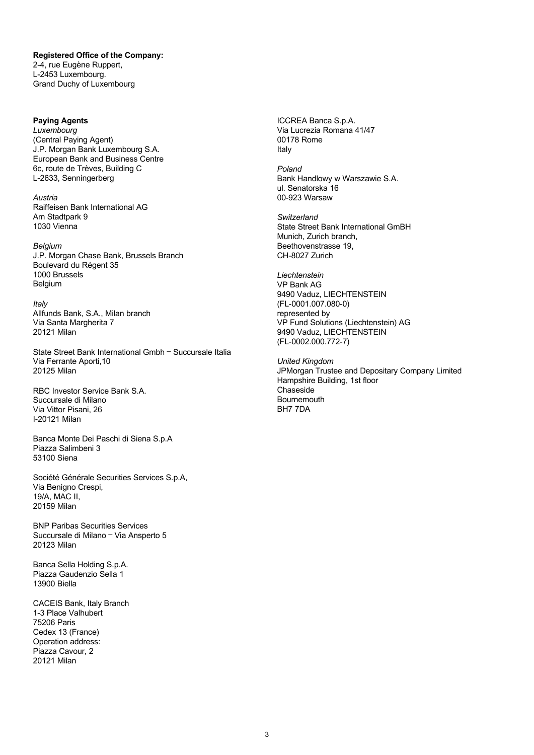**Registered Office of the Company:** 2-4, rue Eugène Ruppert, L-2453 Luxembourg. Grand Duchy of Luxembourg

### **Paying Agents**

*Luxembourg* (Central Paying Agent) J.P. Morgan Bank Luxembourg S.A. European Bank and Business Centre 6c, route de Trèves, Building C L-2633, Senningerberg

*Austria* Raiffeisen Bank International AG Am Stadtpark 9 1030 Vienna

*Belgium* J.P. Morgan Chase Bank, Brussels Branch Boulevard du Régent 35 1000 Brussels Belgium

*Italy* Allfunds Bank, S.A., Milan branch Via Santa Margherita 7 20121 Milan

State Street Bank International Gmbh – Succursale Italia Via Ferrante Aporti,10 20125 Milan

RBC Investor Service Bank S.A. Succursale di Milano Via Vittor Pisani, 26 I-20121 Milan

Banca Monte Dei Paschi di Siena S.p.A Piazza Salimbeni 3 53100 Siena

Société Générale Securities Services S.p.A, Via Benigno Crespi, 19/A, MAC II, 20159 Milan

BNP Paribas Securities Services Succursale di Milano – Via Ansperto 5 20123 Milan

Banca Sella Holding S.p.A. Piazza Gaudenzio Sella 1 13900 Biella

CACEIS Bank, Italy Branch 1-3 Place Valhubert 75206 Paris Cedex 13 (France) Operation address: Piazza Cavour, 2 20121 Milan

ICCREA Banca S.p.A. Via Lucrezia Romana 41/47 00178 Rome Italy

*Poland* Bank Handlowy w Warszawie S.A. ul. Senatorska 16 00-923 Warsaw

*Switzerland* State Street Bank International GmBH Munich, Zurich branch, Beethovenstrasse 19, CH-8027 Zurich

*Liechtenstein* VP Bank AG 9490 Vaduz, LIECHTENSTEIN (FL-0001.007.080-0) represented by VP Fund Solutions (Liechtenstein) AG 9490 Vaduz, LIECHTENSTEIN (FL-0002.000.772-7)

*United Kingdom* JPMorgan Trustee and Depositary Company Limited Hampshire Building, 1st floor Chaseside Bournemouth BH7 7DA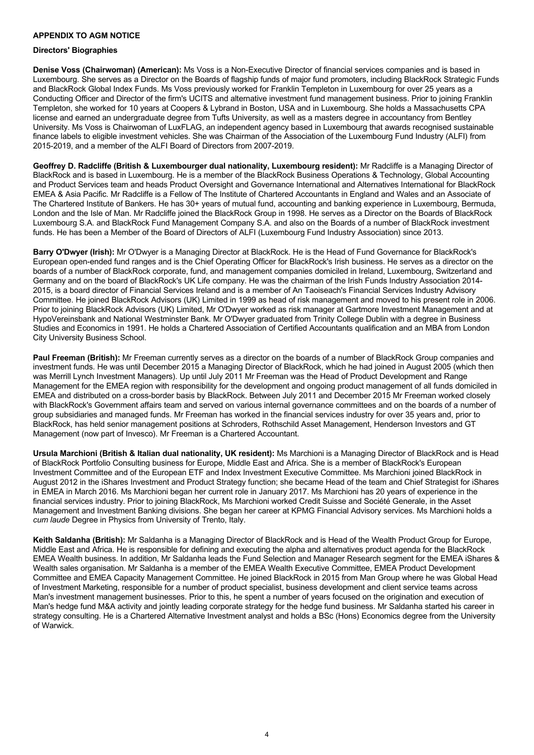### **APPENDIX TO AGM NOTICE**

### **Directors' Biographies**

**Denise Voss (Chairwoman) (American):** Ms Voss is a Non-Executive Director of financial services companies and is based in Luxembourg. She serves as a Director on the Boards of flagship funds of major fund promoters, including BlackRock Strategic Funds and BlackRock Global Index Funds. Ms Voss previously worked for Franklin Templeton in Luxembourg for over 25 years as a Conducting Officer and Director of the firm's UCITS and alternative investment fund management business. Prior to joining Franklin Templeton, she worked for 10 years at Coopers & Lybrand in Boston, USA and in Luxembourg. She holds a Massachusetts CPA license and earned an undergraduate degree from Tufts University, as well as a masters degree in accountancy from Bentley University. Ms Voss is Chairwoman of LuxFLAG, an independent agency based in Luxembourg that awards recognised sustainable finance labels to eligible investment vehicles. She was Chairman of the Association of the Luxembourg Fund Industry (ALFI) from 2015-2019, and a member of the ALFI Board of Directors from 2007-2019.

**Geoffrey D. Radcliffe (British & Luxembourger dual nationality, Luxembourg resident):** Mr Radcliffe is a Managing Director of BlackRock and is based in Luxembourg. He is a member of the BlackRock Business Operations & Technology, Global Accounting and Product Services team and heads Product Oversight and Governance International and Alternatives International for BlackRock EMEA & Asia Pacific. Mr Radcliffe is a Fellow of The Institute of Chartered Accountants in England and Wales and an Associate of The Chartered Institute of Bankers. He has 30+ years of mutual fund, accounting and banking experience in Luxembourg, Bermuda, London and the Isle of Man. Mr Radcliffe joined the BlackRock Group in 1998. He serves as a Director on the Boards of BlackRock Luxembourg S.A. and BlackRock Fund Management Company S.A. and also on the Boards of a number of BlackRock investment funds. He has been a Member of the Board of Directors of ALFI (Luxembourg Fund Industry Association) since 2013.

**Barry O'Dwyer (Irish):** Mr O'Dwyer is a Managing Director at BlackRock. He is the Head of Fund Governance for BlackRock's European open-ended fund ranges and is the Chief Operating Officer for BlackRock's Irish business. He serves as a director on the boards of a number of BlackRock corporate, fund, and management companies domiciled in Ireland, Luxembourg, Switzerland and Germany and on the board of BlackRock's UK Life company. He was the chairman of the Irish Funds Industry Association 2014- 2015, is a board director of Financial Services Ireland and is a member of An Taoiseach's Financial Services Industry Advisory Committee. He joined BlackRock Advisors (UK) Limited in 1999 as head of risk management and moved to his present role in 2006. Prior to joining BlackRock Advisors (UK) Limited, Mr O'Dwyer worked as risk manager at Gartmore Investment Management and at HypoVereinsbank and National Westminster Bank. Mr O'Dwyer graduated from Trinity College Dublin with a degree in Business Studies and Economics in 1991. He holds a Chartered Association of Certified Accountants qualification and an MBA from London City University Business School.

**Paul Freeman (British):** Mr Freeman currently serves as a director on the boards of a number of BlackRock Group companies and investment funds. He was until December 2015 a Managing Director of BlackRock, which he had joined in August 2005 (which then was Merrill Lynch Investment Managers). Up until July 2011 Mr Freeman was the Head of Product Development and Range Management for the EMEA region with responsibility for the development and ongoing product management of all funds domiciled in EMEA and distributed on a cross-border basis by BlackRock. Between July 2011 and December 2015 Mr Freeman worked closely with BlackRock's Government affairs team and served on various internal governance committees and on the boards of a number of group subsidiaries and managed funds. Mr Freeman has worked in the financial services industry for over 35 years and, prior to BlackRock, has held senior management positions at Schroders, Rothschild Asset Management, Henderson Investors and GT Management (now part of Invesco). Mr Freeman is a Chartered Accountant.

**Ursula Marchioni (British & Italian dual nationality, UK resident):** Ms Marchioni is a Managing Director of BlackRock and is Head of BlackRock Portfolio Consulting business for Europe, Middle East and Africa. She is a member of BlackRock's European Investment Committee and of the European ETF and Index Investment Executive Committee. Ms Marchioni joined BlackRock in August 2012 in the iShares Investment and Product Strategy function; she became Head of the team and Chief Strategist for iShares in EMEA in March 2016. Ms Marchioni began her current role in January 2017. Ms Marchioni has 20 years of experience in the financial services industry. Prior to joining BlackRock, Ms Marchioni worked Credit Suisse and Société Generale, in the Asset Management and Investment Banking divisions. She began her career at KPMG Financial Advisory services. Ms Marchioni holds a *cum laude* Degree in Physics from University of Trento, Italy.

**Keith Saldanha (British):** Mr Saldanha is a Managing Director of BlackRock and is Head of the Wealth Product Group for Europe, Middle East and Africa. He is responsible for defining and executing the alpha and alternatives product agenda for the BlackRock EMEA Wealth business. In addition, Mr Saldanha leads the Fund Selection and Manager Research segment for the EMEA iShares & Wealth sales organisation. Mr Saldanha is a member of the EMEA Wealth Executive Committee, EMEA Product Development Committee and EMEA Capacity Management Committee. He joined BlackRock in 2015 from Man Group where he was Global Head of Investment Marketing, responsible for a number of product specialist, business development and client service teams across Man's investment management businesses. Prior to this, he spent a number of years focused on the origination and execution of Man's hedge fund M&A activity and jointly leading corporate strategy for the hedge fund business. Mr Saldanha started his career in strategy consulting. He is a Chartered Alternative Investment analyst and holds a BSc (Hons) Economics degree from the University of Warwick.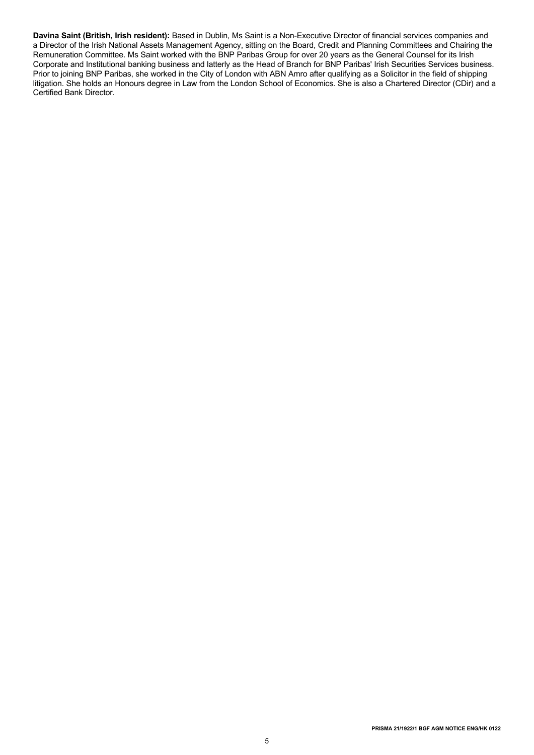**Davina Saint (British, Irish resident):** Based in Dublin, Ms Saint is a Non-Executive Director of financial services companies and a Director of the Irish National Assets Management Agency, sitting on the Board, Credit and Planning Committees and Chairing the Remuneration Committee. Ms Saint worked with the BNP Paribas Group for over 20 years as the General Counsel for its Irish Corporate and Institutional banking business and latterly as the Head of Branch for BNP Paribas' Irish Securities Services business. Prior to joining BNP Paribas, she worked in the City of London with ABN Amro after qualifying as a Solicitor in the field of shipping litigation. She holds an Honours degree in Law from the London School of Economics. She is also a Chartered Director (CDir) and a Certified Bank Director.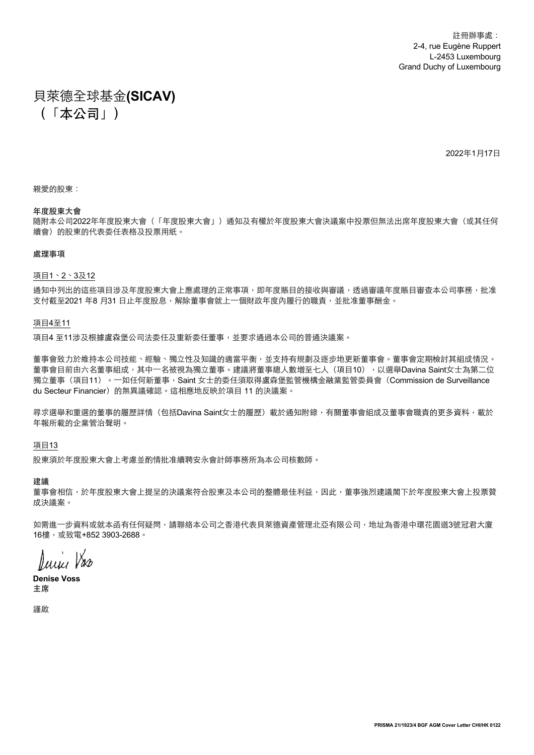註冊辦事處: 2-4, rue Eugène Ruppert L-2453 Luxembourg Grand Duchy of Luxembourg

# 貝萊德全球基金**(SICAV)**

(「本公司」)

2022年1月17日

親愛的股東:

### 年度股東大會

隨附本公司2022年年度股東大會(「年度股東大會」)通知及有權於年度股東大會決議案中投票但無法出席年度股東大會(或其任何 續會)的股東的代表委任表格及投票用紙。

#### 處理事項

# 項目1、2、3及12

通知中列出的這些項目涉及年度股東大會上應處理的正常事項,即年度賬目的接收與審議,透過審議年度賬目審查本公司事務,批准 支付截至2021 年8 月31 日止年度股息,解除董事會就上一個財政年度內履行的職責,並批准董事酬金。

項目4至11

項目4 至11涉及根據盧森堡公司法委任及重新委任董事,並要求通過本公司的普通決議案。

董事會致力於維持本公司技能、經驗、獨立性及知識的適當平衡,並支持有規劃及逐步地更新董事會。董事會定期檢討其組成情況。 董事會目前由六名董事組成,其中一名被視為獨立董事。建議將董事總人數增至七人(項目10),以選舉Davina Saint女士為第二位 獨立董事(項目11)。一如任何新董事, Saint 女士的委任須取得盧森堡監管機構金融業監管委員會(Commission de Surveillance du Secteur Financier) 的無異議確認。這相應地反映於項目 11 的決議案。

尋求選舉和重選的董事的履歷詳情(包括Davina Saint女士的履歷)載於通知附錄,有關董事會組成及董事會職責的更多資料,載於 年報所載的企業管治聲明。

項目13

股東須於年度股東大會上考慮並酌情批准續聘安永會計師事務所為本公司核數師。

建議

董事會相信,於年度股東大會上提呈的決議案符合股東及本公司的整體最佳利益,因此,董事強烈建議閣下於年度股東大會上投票贊 成決議案。

如需進一步資料或就本函有任何疑問,請聯絡本公司之香港代表貝萊德資產管理北亞有限公司, 地址為香港中環花園道3號冠君大廈 16樓,或致電+852 3903-2688。

Juiu Vas

**Denise Voss** 主席

謹啟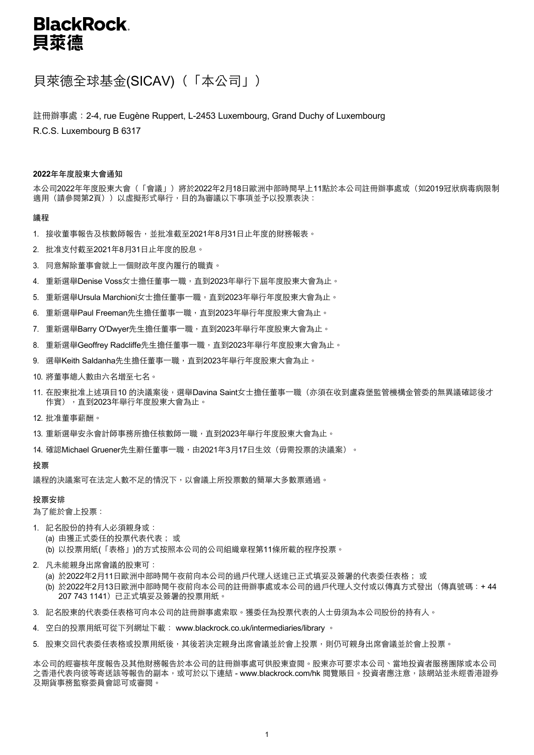# **BlackRock** 貝萊德

# 貝萊德全球基金(SICAV)(「本公司」)

註冊辦事處:2-4, rue Eugène Ruppert, L-2453 Luxembourg, Grand Duchy of Luxembourg R.C.S. Luxembourg B 6317

### **2022**年年度股東大會通知

本公司2022年年度股東大會(「會議」)將於2022年2月18日歐洲中部時間早上11點於本公司註冊辦事處或(如2019冠狀病毒病限制 適用(請參閱第2頁))以虛擬形式舉行,目的為審議以下事項並予以投票表決:

#### 議程

- 1. 接收董事報告及核數師報告,並批准截至2021年8月31日止年度的財務報表。
- 2. 批准支付截至2021年8月31日止年度的股息。
- 3. 同意解除董事會就上一個財政年度內履行的職責。
- 4. 重新選舉Denise Voss女士擔任董事一職,直到2023年舉行下屆年度股東大會為止。
- 5. 重新選舉Ursula Marchioni女士擔任董事一職, 直到2023年舉行年度股東大會為止。
- 6. 重新選舉Paul Freeman先生擔任董事一職,直到2023年舉行年度股東大會為止。
- 7. 重新選舉Barry O'Dwyer先生擔任董事一職,直到2023年舉行年度股東大會為止。
- 8. 重新選舉Geoffrey Radcliffe先生擔任董事一職,直到2023年舉行年度股東大會為止。
- 9. 選舉Keith Saldanha先生擔任董事一職,直到2023年舉行年度股東大會為止。
- 10. 將董事總人數由六名增至七名。
- 11. 在股東批准上述項目10 的決議案後,選舉Davina Saint女士擔任董事一職(亦須在收到盧森堡監管機構金管委的無異議確認後才 作實),直到2023年舉行年度股東大會為止。
- 12. 批准董事薪酬。
- 13. 重新選舉安永會計師事務所擔任核數師一職, 直到2023年舉行年度股東大會為止。
- 14. 確認Michael Gruener先生辭任董事一職,由2021年3月17日生效(毋需投票的決議案)。

### 投票

議程的決議案可在法定人數不足的情況下,以會議上所投票數的簡單大多數票通過。

#### 投票安排

為了能於會上投票:

- 1. 記名股份的持有人必須親身或:
	- (a) 由獲正式委任的投票代表代表; 或
	- (b) 以投票用紙(「表格」)的方式按照本公司的公司組織章程第11條所載的程序投票。
- 2. 凡未能親身出席會議的股東可:
	- (a) 於2022年2月11日歐洲中部時間午夜前向本公司的過戶代理人送達已正式填妥及簽署的代表委任表格; 或
	- (b) 於2022年2月13日歐洲中部時間午夜前向本公司的註冊辦事處或本公司的過戶代理人交付或以傳真方式發出(傳真號碼:+ 44 207 743 1141)已正式填妥及簽署的投票用紙。
- 3. 記名股東的代表委任表格可向本公司的註冊辦事處索取。獲委任為投票代表的人士毋須為本公司股份的持有人。
- 4. 空白的投票用紙可從下列網址下載: www.blackrock.co.uk/intermediaries/library 。
- 5. 股東交回代表委任表格或投票用紙後,其後若決定親身出席會議並於會上投票,則仍可親身出席會議並於會上投票。

本公司的經審核年度報告及其他財務報告於本公司的註冊辦事處可供股東查閱。股東亦可要求本公司、當地投資者服務團隊或本公司 之香港代表向彼等寄送該等報告的副本,或可於以下連結 - www.blackrock.com/hk 閱覽賬目。投資者應注意,該網站並未經香港證券 及期貨事務監察委員會認可或審閱。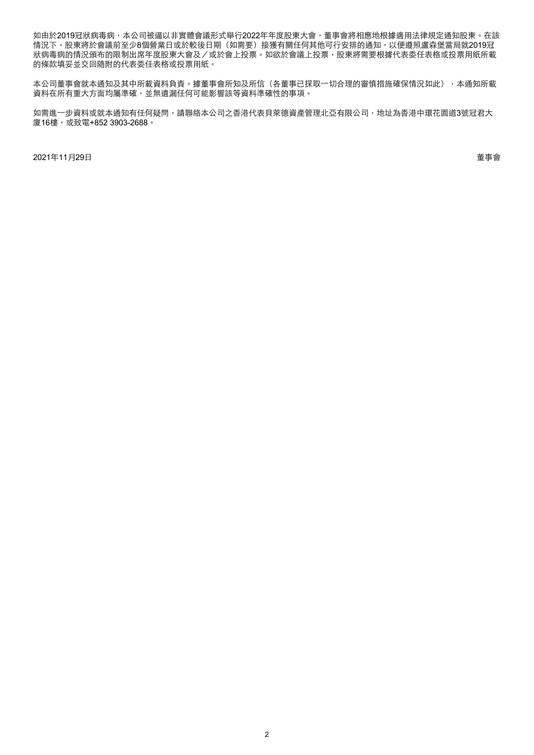如由於2019冠狀病毒病,本公司被逼以非實體會議形式舉行2022年年度股東大會,董事會將相應地根據適用法律規定通知股東。在該 情況下,股東將於會議前至少8個營業日或於較後日期(如需要)接獲有關任何其他可行安排的通知,以便遵照盧森堡當局就2019冠 狀病毒病的情況頒布的限制出席年度股東大會及/或於會上投票。如欲於會議上投票,股東將需要根據代表委任表格或投票用紙所載 的條款填妥並交回隨附的代表委任表格或投票用紙。

本公司董事會就本通知及其中所載資料負責。據董事會所知及所信(各董事已採取一切合理的審慎措施確保情況如此),本通知所載 資料在所有重大方面均屬準確,並無遺漏任何可能影響該等資料準確性的事項。

如需進一步資料或就本通知有任何疑問,請聯絡本公司之香港代表貝萊德資產管理北亞有限公司,地址為香港中環花園道3號冠君大 廈16樓,或致電+852 3903-2688。

2021年11月29日 董事會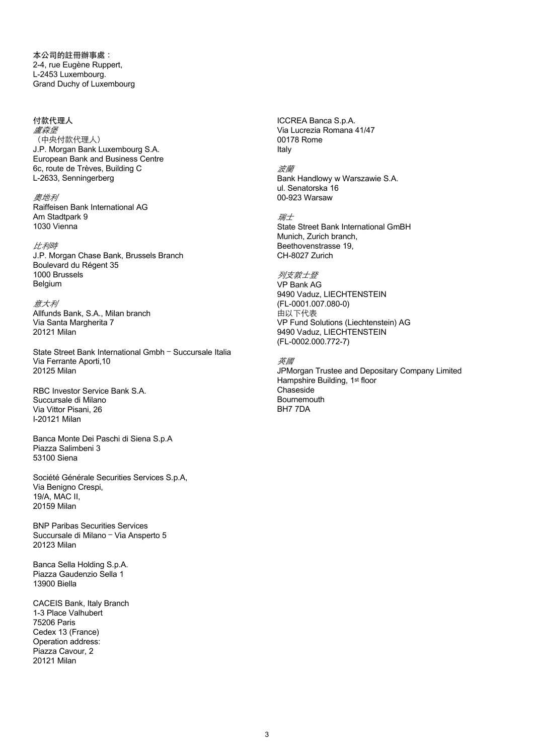本公司的註冊辦事處: 2-4, rue Eugène Ruppert, L-2453 Luxembourg. Grand Duchy of Luxembourg

# 付款代理人

盧森堡 (中央付款代理人) J.P. Morgan Bank Luxembourg S.A. European Bank and Business Centre 6c, route de Trèves, Building C L-2633, Senningerberg

奧地利 Raiffeisen Bank International AG Am Stadtpark 9 1030 Vienna

比利時

J.P. Morgan Chase Bank, Brussels Branch Boulevard du Régent 35 1000 Brussels Belgium

意大利 Allfunds Bank, S.A., Milan branch Via Santa Margherita 7 20121 Milan

State Street Bank International Gmbh – Succursale Italia Via Ferrante Aporti,10 20125 Milan

RBC Investor Service Bank S.A. Succursale di Milano Via Vittor Pisani, 26 I-20121 Milan

Banca Monte Dei Paschi di Siena S.p.A Piazza Salimbeni 3 53100 Siena

Société Générale Securities Services S.p.A, Via Benigno Crespi, 19/A, MAC II, 20159 Milan

BNP Paribas Securities Services Succursale di Milano – Via Ansperto 5 20123 Milan

Banca Sella Holding S.p.A. Piazza Gaudenzio Sella 1 13900 Biella

CACEIS Bank, Italy Branch 1-3 Place Valhubert 75206 Paris Cedex 13 (France) Operation address: Piazza Cavour, 2 20121 Milan

ICCREA Banca S.p.A. Via Lucrezia Romana 41/47 00178 Rome Italy

波蘭 Bank Handlowy w Warszawie S.A. ul. Senatorska 16 00-923 Warsaw

瑞士 State Street Bank International GmBH Munich, Zurich branch, Beethovenstrasse 19, CH-8027 Zurich

列支敦士登 VP Bank AG 9490 Vaduz, LIECHTENSTEIN (FL-0001.007.080-0) 由以下代表 VP Fund Solutions (Liechtenstein) AG 9490 Vaduz, LIECHTENSTEIN (FL-0002.000.772-7)

英國 JPMorgan Trustee and Depositary Company Limited Hampshire Building, 1st floor Chaseside Bournemouth BH7 7DA